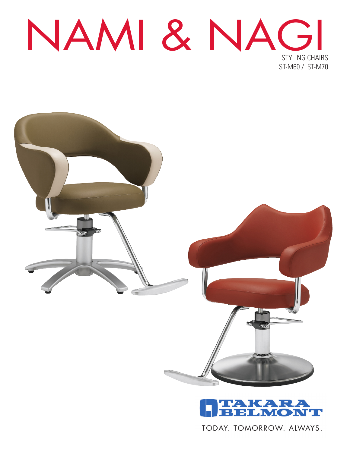NAMI & NAGI STYLING CHAIRS ST-M60 / ST-M70





TODAY, TOMORROW, ALWAYS.